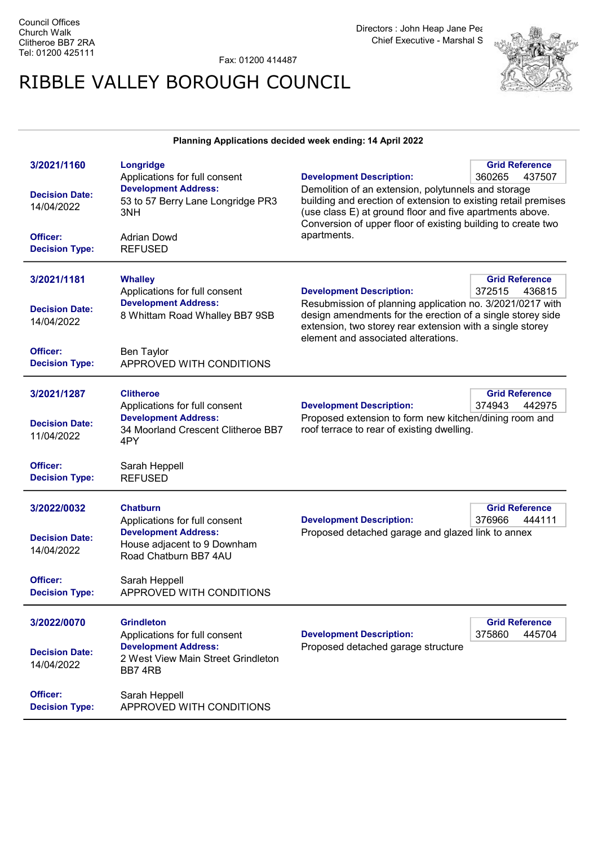Fax: 01200 414487

## RIBBLE VALLEY BOROUGH COUNCIL



## Planning Applications decided week ending: 14 April 2022

| 3/2021/1160<br><b>Decision Date:</b><br>14/04/2022<br>Officer:<br><b>Decision Type:</b> | Longridge<br>Applications for full consent<br><b>Development Address:</b><br>53 to 57 Berry Lane Longridge PR3<br>3NH<br><b>Adrian Dowd</b><br><b>REFUSED</b> | <b>Development Description:</b><br>Demolition of an extension, polytunnels and storage<br>building and erection of extension to existing retail premises<br>(use class E) at ground floor and five apartments above.<br>Conversion of upper floor of existing building to create two<br>apartments. | <b>Grid Reference</b><br>360265<br>437507 |
|-----------------------------------------------------------------------------------------|---------------------------------------------------------------------------------------------------------------------------------------------------------------|-----------------------------------------------------------------------------------------------------------------------------------------------------------------------------------------------------------------------------------------------------------------------------------------------------|-------------------------------------------|
| 3/2021/1181<br><b>Decision Date:</b><br>14/04/2022<br>Officer:                          | <b>Whalley</b><br>Applications for full consent<br><b>Development Address:</b><br>8 Whittam Road Whalley BB7 9SB<br><b>Ben Taylor</b>                         | <b>Development Description:</b><br>Resubmission of planning application no. 3/2021/0217 with<br>design amendments for the erection of a single storey side<br>extension, two storey rear extension with a single storey<br>element and associated alterations.                                      | <b>Grid Reference</b><br>372515<br>436815 |
| <b>Decision Type:</b><br>3/2021/1287<br><b>Decision Date:</b><br>11/04/2022             | APPROVED WITH CONDITIONS<br><b>Clitheroe</b><br>Applications for full consent<br><b>Development Address:</b><br>34 Moorland Crescent Clitheroe BB7            | <b>Development Description:</b><br>Proposed extension to form new kitchen/dining room and<br>roof terrace to rear of existing dwelling.                                                                                                                                                             | <b>Grid Reference</b><br>374943<br>442975 |
| Officer:<br><b>Decision Type:</b>                                                       | 4PY<br>Sarah Heppell<br><b>REFUSED</b>                                                                                                                        |                                                                                                                                                                                                                                                                                                     |                                           |
| 3/2022/0032<br><b>Decision Date:</b><br>14/04/2022                                      | <b>Chatburn</b><br>Applications for full consent<br><b>Development Address:</b><br>House adjacent to 9 Downham<br>Road Chatburn BB7 4AU                       | <b>Grid Reference</b><br><b>Development Description:</b><br>376966<br>444111<br>Proposed detached garage and glazed link to annex                                                                                                                                                                   |                                           |
| Officer:<br><b>Decision Type:</b>                                                       | Sarah Heppell<br>APPROVED WITH CONDITIONS                                                                                                                     |                                                                                                                                                                                                                                                                                                     |                                           |
| 3/2022/0070<br><b>Decision Date:</b><br>14/04/2022                                      | <b>Grindleton</b><br>Applications for full consent<br><b>Development Address:</b><br>2 West View Main Street Grindleton<br>BB7 4RB                            | <b>Development Description:</b><br>Proposed detached garage structure                                                                                                                                                                                                                               | <b>Grid Reference</b><br>445704<br>375860 |
| Officer:<br><b>Decision Type:</b>                                                       | Sarah Heppell<br>APPROVED WITH CONDITIONS                                                                                                                     |                                                                                                                                                                                                                                                                                                     |                                           |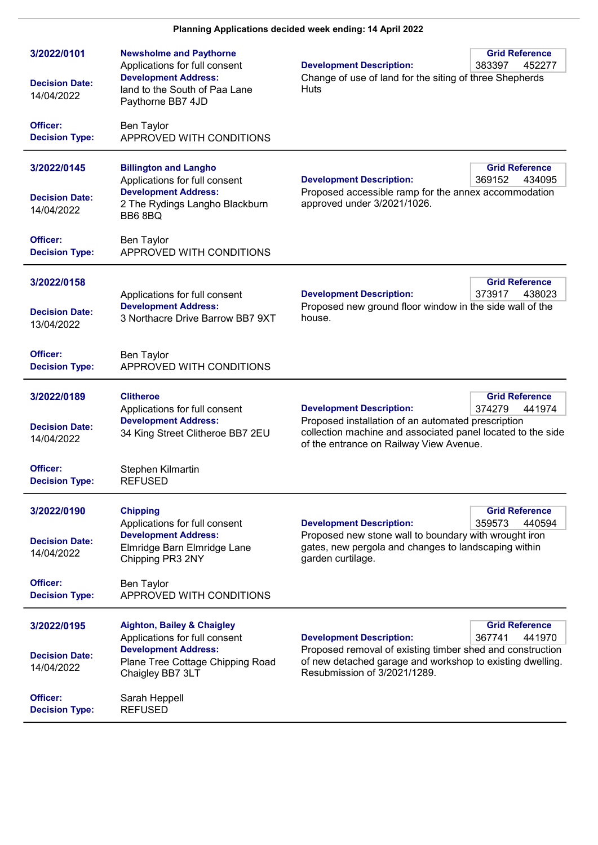| 3/2022/0101<br><b>Decision Date:</b><br>14/04/2022 | <b>Newsholme and Paythorne</b><br>Applications for full consent<br><b>Development Address:</b><br>land to the South of Paa Lane<br>Paythorne BB7 4JD          | <b>Grid Reference</b><br><b>Development Description:</b><br>383397<br>452277<br>Change of use of land for the siting of three Shepherds<br>Huts                                                                                              |
|----------------------------------------------------|---------------------------------------------------------------------------------------------------------------------------------------------------------------|----------------------------------------------------------------------------------------------------------------------------------------------------------------------------------------------------------------------------------------------|
| Officer:<br><b>Decision Type:</b>                  | <b>Ben Taylor</b><br>APPROVED WITH CONDITIONS                                                                                                                 |                                                                                                                                                                                                                                              |
| 3/2022/0145<br><b>Decision Date:</b><br>14/04/2022 | <b>Billington and Langho</b><br>Applications for full consent<br><b>Development Address:</b><br>2 The Rydings Langho Blackburn<br>BB68BQ                      | <b>Grid Reference</b><br><b>Development Description:</b><br>369152<br>434095<br>Proposed accessible ramp for the annex accommodation<br>approved under 3/2021/1026.                                                                          |
| Officer:<br><b>Decision Type:</b>                  | Ben Taylor<br>APPROVED WITH CONDITIONS                                                                                                                        |                                                                                                                                                                                                                                              |
| 3/2022/0158<br><b>Decision Date:</b><br>13/04/2022 | Applications for full consent<br><b>Development Address:</b><br>3 Northacre Drive Barrow BB7 9XT                                                              | <b>Grid Reference</b><br><b>Development Description:</b><br>373917<br>438023<br>Proposed new ground floor window in the side wall of the<br>house.                                                                                           |
| Officer:<br><b>Decision Type:</b>                  | <b>Ben Taylor</b><br>APPROVED WITH CONDITIONS                                                                                                                 |                                                                                                                                                                                                                                              |
| 3/2022/0189<br><b>Decision Date:</b><br>14/04/2022 | <b>Clitheroe</b><br>Applications for full consent<br><b>Development Address:</b><br>34 King Street Clitheroe BB7 2EU                                          | <b>Grid Reference</b><br>374279<br><b>Development Description:</b><br>441974<br>Proposed installation of an automated prescription<br>collection machine and associated panel located to the side<br>of the entrance on Railway View Avenue. |
| Officer:<br><b>Decision Type:</b>                  | Stephen Kilmartin<br><b>REFUSED</b>                                                                                                                           |                                                                                                                                                                                                                                              |
| 3/2022/0190<br><b>Decision Date:</b><br>14/04/2022 | <b>Chipping</b><br>Applications for full consent<br><b>Development Address:</b><br>Elmridge Barn Elmridge Lane<br>Chipping PR3 2NY                            | <b>Grid Reference</b><br>359573<br>440594<br><b>Development Description:</b><br>Proposed new stone wall to boundary with wrought iron<br>gates, new pergola and changes to landscaping within<br>garden curtilage.                           |
| Officer:<br><b>Decision Type:</b>                  | Ben Taylor<br>APPROVED WITH CONDITIONS                                                                                                                        |                                                                                                                                                                                                                                              |
| 3/2022/0195<br><b>Decision Date:</b><br>14/04/2022 | <b>Aighton, Bailey &amp; Chaigley</b><br>Applications for full consent<br><b>Development Address:</b><br>Plane Tree Cottage Chipping Road<br>Chaigley BB7 3LT | <b>Grid Reference</b><br>367741<br><b>Development Description:</b><br>441970<br>Proposed removal of existing timber shed and construction<br>of new detached garage and workshop to existing dwelling.<br>Resubmission of 3/2021/1289.       |
| Officer:<br><b>Decision Type:</b>                  | Sarah Heppell<br><b>REFUSED</b>                                                                                                                               |                                                                                                                                                                                                                                              |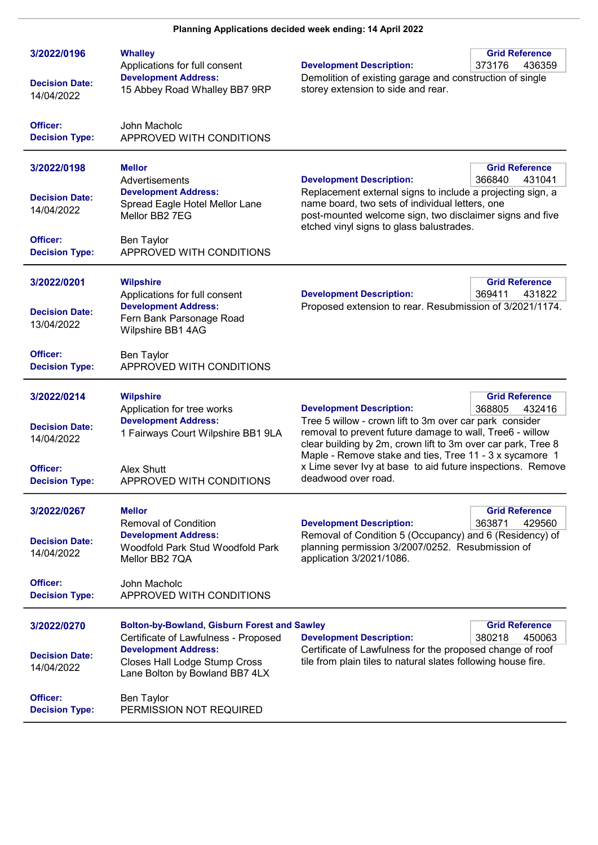| 3/2022/0196<br><b>Decision Date:</b><br>14/04/2022 | <b>Whalley</b><br>Applications for full consent<br><b>Development Address:</b><br>15 Abbey Road Whalley BB7 9RP | <b>Development Description:</b><br>Demolition of existing garage and construction of single<br>storey extension to side and rear.                                                                                     | <b>Grid Reference</b><br>373176<br>436359 |
|----------------------------------------------------|-----------------------------------------------------------------------------------------------------------------|-----------------------------------------------------------------------------------------------------------------------------------------------------------------------------------------------------------------------|-------------------------------------------|
| Officer:<br><b>Decision Type:</b>                  | John Macholc<br>APPROVED WITH CONDITIONS                                                                        |                                                                                                                                                                                                                       |                                           |
| 3/2022/0198                                        | <b>Mellor</b><br>Advertisements                                                                                 | <b>Development Description:</b>                                                                                                                                                                                       | <b>Grid Reference</b><br>366840<br>431041 |
| <b>Decision Date:</b><br>14/04/2022                | <b>Development Address:</b><br>Spread Eagle Hotel Mellor Lane<br>Mellor BB2 7EG                                 | Replacement external signs to include a projecting sign, a<br>name board, two sets of individual letters, one<br>post-mounted welcome sign, two disclaimer signs and five<br>etched vinyl signs to glass balustrades. |                                           |
| Officer:<br><b>Decision Type:</b>                  | Ben Taylor<br>APPROVED WITH CONDITIONS                                                                          |                                                                                                                                                                                                                       |                                           |
| 3/2022/0201                                        | <b>Wilpshire</b><br>Applications for full consent                                                               | <b>Development Description:</b>                                                                                                                                                                                       | <b>Grid Reference</b><br>369411<br>431822 |
| <b>Decision Date:</b><br>13/04/2022                | <b>Development Address:</b><br>Fern Bank Parsonage Road<br>Wilpshire BB1 4AG                                    | Proposed extension to rear. Resubmission of 3/2021/1174.                                                                                                                                                              |                                           |
| Officer:<br><b>Decision Type:</b>                  | Ben Taylor<br>APPROVED WITH CONDITIONS                                                                          |                                                                                                                                                                                                                       |                                           |
| 3/2022/0214                                        | <b>Wilpshire</b><br>Application for tree works<br><b>Development Address:</b>                                   | <b>Development Description:</b><br>Tree 5 willow - crown lift to 3m over car park consider                                                                                                                            | <b>Grid Reference</b><br>368805<br>432416 |
| <b>Decision Date:</b><br>14/04/2022                | 1 Fairways Court Wilpshire BB1 9LA                                                                              | removal to prevent future damage to wall, Tree6 - willow<br>clear building by 2m, crown lift to 3m over car park, Tree 8<br>Maple - Remove stake and ties, Tree 11 - 3 x sycamore 1                                   |                                           |
| Officer:<br><b>Decision Type:</b>                  | Alex Shutt<br>APPROVED WITH CONDITIONS                                                                          | x Lime sever Ivy at base to aid future inspections. Remove<br>deadwood over road.                                                                                                                                     |                                           |
| 3/2022/0267                                        | <b>Mellor</b><br><b>Removal of Condition</b>                                                                    | <b>Development Description:</b>                                                                                                                                                                                       | <b>Grid Reference</b><br>363871<br>429560 |
| <b>Decision Date:</b><br>14/04/2022                | <b>Development Address:</b><br>Woodfold Park Stud Woodfold Park<br>Mellor BB2 7QA                               | Removal of Condition 5 (Occupancy) and 6 (Residency) of<br>planning permission 3/2007/0252. Resubmission of<br>application 3/2021/1086.                                                                               |                                           |
| Officer:<br><b>Decision Type:</b>                  | John Macholc<br>APPROVED WITH CONDITIONS                                                                        |                                                                                                                                                                                                                       |                                           |
| 3/2022/0270                                        | <b>Bolton-by-Bowland, Gisburn Forest and Sawley</b><br>Certificate of Lawfulness - Proposed                     | <b>Development Description:</b>                                                                                                                                                                                       | <b>Grid Reference</b><br>380218<br>450063 |
| <b>Decision Date:</b><br>14/04/2022                | <b>Development Address:</b><br>Closes Hall Lodge Stump Cross<br>Lane Bolton by Bowland BB7 4LX                  | Certificate of Lawfulness for the proposed change of roof<br>tile from plain tiles to natural slates following house fire.                                                                                            |                                           |
| Officer:<br><b>Decision Type:</b>                  | <b>Ben Taylor</b><br>PERMISSION NOT REQUIRED                                                                    |                                                                                                                                                                                                                       |                                           |